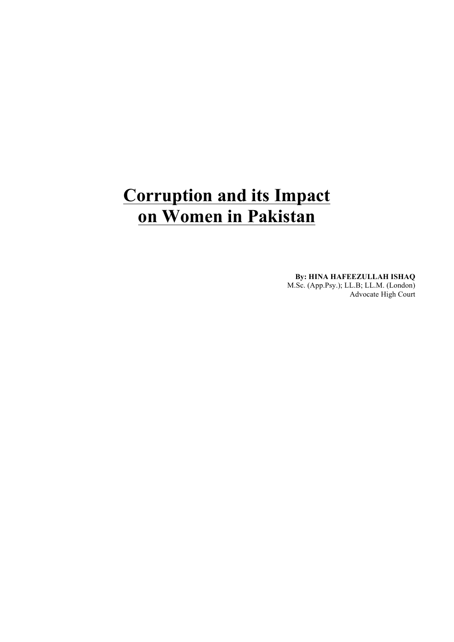# **Corruption and its Impact on Women in Pakistan**

**By: HINA HAFEEZULLAH ISHAQ** M.Sc. (App.Psy.); LL.B; LL.M. (London) Advocate High Court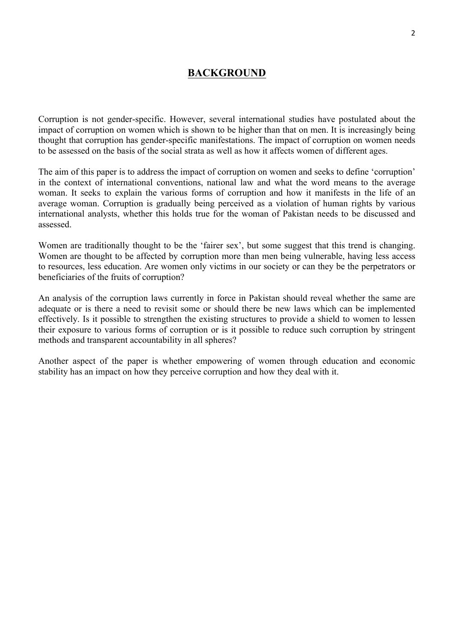## **BACKGROUND**

Corruption is not gender-specific. However, several international studies have postulated about the impact of corruption on women which is shown to be higher than that on men. It is increasingly being thought that corruption has gender-specific manifestations. The impact of corruption on women needs to be assessed on the basis of the social strata as well as how it affects women of different ages.

The aim of this paper is to address the impact of corruption on women and seeks to define 'corruption' in the context of international conventions, national law and what the word means to the average woman. It seeks to explain the various forms of corruption and how it manifests in the life of an average woman. Corruption is gradually being perceived as a violation of human rights by various international analysts, whether this holds true for the woman of Pakistan needs to be discussed and assessed.

Women are traditionally thought to be the 'fairer sex', but some suggest that this trend is changing. Women are thought to be affected by corruption more than men being vulnerable, having less access to resources, less education. Are women only victims in our society or can they be the perpetrators or beneficiaries of the fruits of corruption?

An analysis of the corruption laws currently in force in Pakistan should reveal whether the same are adequate or is there a need to revisit some or should there be new laws which can be implemented effectively. Is it possible to strengthen the existing structures to provide a shield to women to lessen their exposure to various forms of corruption or is it possible to reduce such corruption by stringent methods and transparent accountability in all spheres?

Another aspect of the paper is whether empowering of women through education and economic stability has an impact on how they perceive corruption and how they deal with it.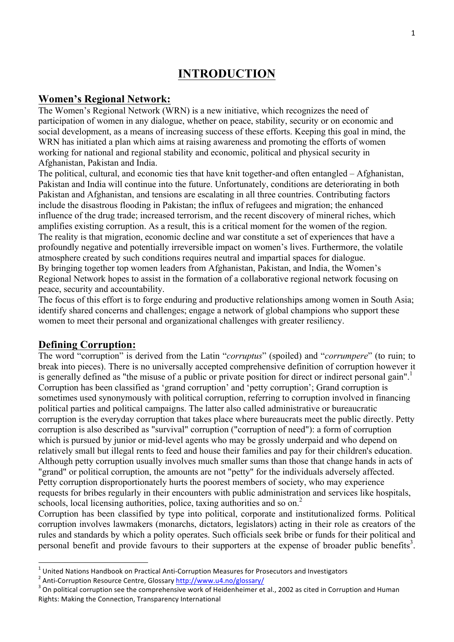## **INTRODUCTION**

## **Women's Regional Network:**

The Women's Regional Network (WRN) is a new initiative, which recognizes the need of participation of women in any dialogue, whether on peace, stability, security or on economic and social development, as a means of increasing success of these efforts. Keeping this goal in mind, the WRN has initiated a plan which aims at raising awareness and promoting the efforts of women working for national and regional stability and economic, political and physical security in Afghanistan, Pakistan and India.

The political, cultural, and economic ties that have knit together-and often entangled – Afghanistan, Pakistan and India will continue into the future. Unfortunately, conditions are deteriorating in both Pakistan and Afghanistan, and tensions are escalating in all three countries. Contributing factors include the disastrous flooding in Pakistan; the influx of refugees and migration; the enhanced influence of the drug trade; increased terrorism, and the recent discovery of mineral riches, which amplifies existing corruption. As a result, this is a critical moment for the women of the region. The reality is that migration, economic decline and war constitute a set of experiences that have a profoundly negative and potentially irreversible impact on women's lives. Furthermore, the volatile atmosphere created by such conditions requires neutral and impartial spaces for dialogue. By bringing together top women leaders from Afghanistan, Pakistan, and India, the Women's Regional Network hopes to assist in the formation of a collaborative regional network focusing on peace, security and accountability.

The focus of this effort is to forge enduring and productive relationships among women in South Asia; identify shared concerns and challenges; engage a network of global champions who support these women to meet their personal and organizational challenges with greater resiliency.

## **Defining Corruption:**

<u> Andreas Andreas Andreas Andreas Andreas Andreas Andreas Andreas Andreas Andreas Andreas Andreas Andreas Andreas</u>

The word "corruption" is derived from the Latin "*corruptus*" (spoiled) and "*corrumpere*" (to ruin; to break into pieces). There is no universally accepted comprehensive definition of corruption however it is generally defined as "the misuse of a public or private position for direct or indirect personal gain".<sup>1</sup> Corruption has been classified as 'grand corruption' and 'petty corruption'; Grand corruption is sometimes used synonymously with political corruption, referring to corruption involved in financing political parties and political campaigns. The latter also called administrative or bureaucratic corruption is the everyday corruption that takes place where bureaucrats meet the public directly. Petty corruption is also described as "survival" corruption ("corruption of need"): a form of corruption which is pursued by junior or mid-level agents who may be grossly underpaid and who depend on relatively small but illegal rents to feed and house their families and pay for their children's education. Although petty corruption usually involves much smaller sums than those that change hands in acts of "grand" or political corruption, the amounts are not "petty" for the individuals adversely affected. Petty corruption disproportionately hurts the poorest members of society, who may experience requests for bribes regularly in their encounters with public administration and services like hospitals, schools, local licensing authorities, police, taxing authorities and so on.<sup>2</sup>

Corruption has been classified by type into political, corporate and institutionalized forms. Political corruption involves lawmakers (monarchs, dictators, legislators) acting in their role as creators of the rules and standards by which a polity operates. Such officials seek bribe or funds for their political and personal benefit and provide favours to their supporters at the expense of broader public benefits<sup>3</sup>.

<sup>&</sup>lt;sup>1</sup> United Nations Handbook on Practical Anti-Corruption Measures for Prosecutors and Investigators<br><sup>2</sup> Anti-Corruption Resource Centre, Glossary http://www.u4.no/glossary/<br><sup>3</sup> On political corruption see the comprehensiv Rights: Making the Connection, Transparency International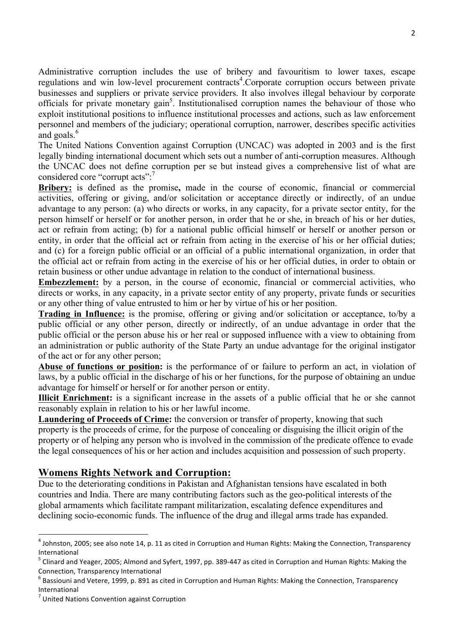Administrative corruption includes the use of bribery and favouritism to lower taxes, escape regulations and win low-level procurement contracts<sup>4</sup>. Corporate corruption occurs between private businesses and suppliers or private service providers. It also involves illegal behaviour by corporate officials for private monetary gain<sup>5</sup>. Institutionalised corruption names the behaviour of those who exploit institutional positions to influence institutional processes and actions, such as law enforcement personnel and members of the judiciary; operational corruption, narrower, describes specific activities and goals.<sup>6</sup>

The United Nations Convention against Corruption (UNCAC) was adopted in 2003 and is the first legally binding international document which sets out a number of anti-corruption measures. Although the UNCAC does not define corruption per se but instead gives a comprehensive list of what are considered core "corrupt acts":<sup>7</sup>

**Bribery:** is defined as the promise**,** made in the course of economic, financial or commercial activities, offering or giving, and/or solicitation or acceptance directly or indirectly, of an undue advantage to any person: (a) who directs or works, in any capacity, for a private sector entity, for the person himself or herself or for another person, in order that he or she, in breach of his or her duties, act or refrain from acting; (b) for a national public official himself or herself or another person or entity, in order that the official act or refrain from acting in the exercise of his or her official duties; and (c) for a foreign public official or an official of a public international organization, in order that the official act or refrain from acting in the exercise of his or her official duties, in order to obtain or retain business or other undue advantage in relation to the conduct of international business.

**Embezzlement:** by a person, in the course of economic, financial or commercial activities, who directs or works, in any capacity, in a private sector entity of any property, private funds or securities or any other thing of value entrusted to him or her by virtue of his or her position.

**Trading in Influence:** is the promise, offering or giving and/or solicitation or acceptance, to/by a public official or any other person, directly or indirectly, of an undue advantage in order that the public official or the person abuse his or her real or supposed influence with a view to obtaining from an administration or public authority of the State Party an undue advantage for the original instigator of the act or for any other person;

**Abuse of functions or position:** is the performance of or failure to perform an act, in violation of laws, by a public official in the discharge of his or her functions, for the purpose of obtaining an undue advantage for himself or herself or for another person or entity.

**Illicit Enrichment:** is a significant increase in the assets of a public official that he or she cannot reasonably explain in relation to his or her lawful income.

Laundering of Proceeds of Crime: the conversion or transfer of property, knowing that such property is the proceeds of crime, for the purpose of concealing or disguising the illicit origin of the property or of helping any person who is involved in the commission of the predicate offence to evade the legal consequences of his or her action and includes acquisition and possession of such property.

## **Womens Rights Network and Corruption:**

Due to the deteriorating conditions in Pakistan and Afghanistan tensions have escalated in both countries and India. There are many contributing factors such as the geo-political interests of the global armaments which facilitate rampant militarization, escalating defence expenditures and declining socio-economic funds. The influence of the drug and illegal arms trade has expanded.

<u> Andreas Andreas Andreas Andreas Andreas Andreas Andreas Andreas Andreas Andreas Andreas Andreas Andreas Andreas</u>

 $4$  Johnston, 2005; see also note 14, p. 11 as cited in Corruption and Human Rights: Making the Connection, Transparency International

 $^5$  Clinard and Yeager, 2005; Almond and Syfert, 1997, pp. 389-447 as cited in Corruption and Human Rights: Making the Connection, Transparency International

Bassiouni and Vetere, 1999, p. 891 as cited in Corruption and Human Rights: Making the Connection, Transparency International

 $<sup>7</sup>$  United Nations Convention against Corruption</sup>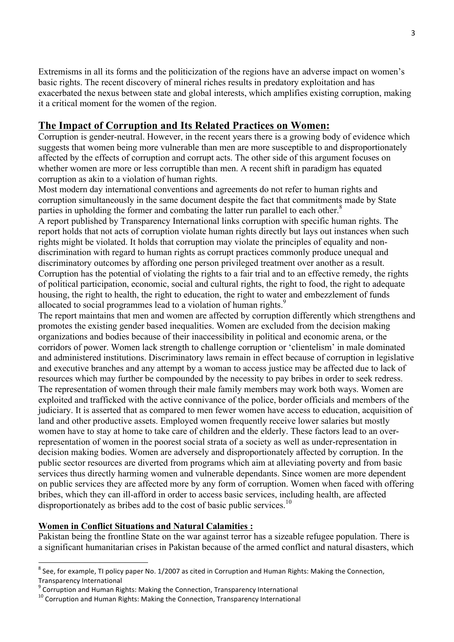Extremisms in all its forms and the politicization of the regions have an adverse impact on women's basic rights. The recent discovery of mineral riches results in predatory exploitation and has exacerbated the nexus between state and global interests, which amplifies existing corruption, making it a critical moment for the women of the region.

## **The Impact of Corruption and Its Related Practices on Women:**

Corruption is gender-neutral. However, in the recent years there is a growing body of evidence which suggests that women being more vulnerable than men are more susceptible to and disproportionately affected by the effects of corruption and corrupt acts. The other side of this argument focuses on whether women are more or less corruptible than men. A recent shift in paradigm has equated corruption as akin to a violation of human rights.

Most modern day international conventions and agreements do not refer to human rights and corruption simultaneously in the same document despite the fact that commitments made by State parties in upholding the former and combating the latter run parallel to each other.<sup>8</sup>

A report published by Transparency International links corruption with specific human rights. The report holds that not acts of corruption violate human rights directly but lays out instances when such rights might be violated. It holds that corruption may violate the principles of equality and nondiscrimination with regard to human rights as corrupt practices commonly produce unequal and discriminatory outcomes by affording one person privileged treatment over another as a result. Corruption has the potential of violating the rights to a fair trial and to an effective remedy, the rights of political participation, economic, social and cultural rights, the right to food, the right to adequate housing, the right to health, the right to education, the right to water and embezzlement of funds allocated to social programmes lead to a violation of human rights.<sup>9</sup>

The report maintains that men and women are affected by corruption differently which strengthens and promotes the existing gender based inequalities. Women are excluded from the decision making organizations and bodies because of their inaccessibility in political and economic arena, or the corridors of power. Women lack strength to challenge corruption or 'clientelism' in male dominated and administered institutions. Discriminatory laws remain in effect because of corruption in legislative and executive branches and any attempt by a woman to access justice may be affected due to lack of resources which may further be compounded by the necessity to pay bribes in order to seek redress. The representation of women through their male family members may work both ways. Women are exploited and trafficked with the active connivance of the police, border officials and members of the judiciary. It is asserted that as compared to men fewer women have access to education, acquisition of land and other productive assets. Employed women frequently receive lower salaries but mostly women have to stay at home to take care of children and the elderly. These factors lead to an overrepresentation of women in the poorest social strata of a society as well as under-representation in decision making bodies. Women are adversely and disproportionately affected by corruption. In the public sector resources are diverted from programs which aim at alleviating poverty and from basic services thus directly harming women and vulnerable dependants. Since women are more dependent on public services they are affected more by any form of corruption. Women when faced with offering bribes, which they can ill-afford in order to access basic services, including health, are affected disproportionately as bribes add to the cost of basic public services. $10$ 

## **Women in Conflict Situations and Natural Calamities :**

<u> Andreas Andreas Andreas Andreas Andreas Andreas Andreas Andreas Andreas Andreas Andreas Andreas Andreas Andreas</u>

Pakistan being the frontline State on the war against terror has a sizeable refugee population. There is a significant humanitarian crises in Pakistan because of the armed conflict and natural disasters, which

 $8$  See, for example, TI policy paper No. 1/2007 as cited in Corruption and Human Rights: Making the Connection, Transparency International

 $\degree$  Corruption and Human Rights: Making the Connection, Transparency International  $^{10}$  Corruption and Human Rights: Making the Connection, Transparency International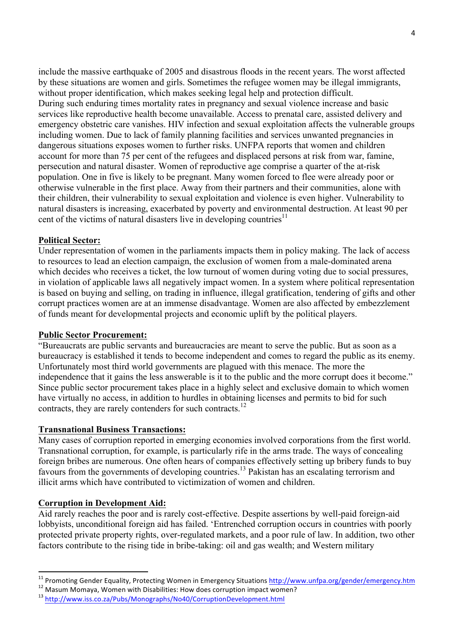include the massive earthquake of 2005 and disastrous floods in the recent years. The worst affected by these situations are women and girls. Sometimes the refugee women may be illegal immigrants, without proper identification, which makes seeking legal help and protection difficult. During such enduring times mortality rates in pregnancy and sexual violence increase and basic services like reproductive health become unavailable. Access to prenatal care, assisted delivery and emergency obstetric care vanishes. HIV infection and sexual exploitation affects the vulnerable groups including women. Due to lack of family planning facilities and services unwanted pregnancies in dangerous situations exposes women to further risks. UNFPA reports that women and children account for more than 75 per cent of the refugees and displaced persons at risk from war, famine, persecution and natural disaster. Women of reproductive age comprise a quarter of the at-risk population. One in five is likely to be pregnant. Many women forced to flee were already poor or otherwise vulnerable in the first place. Away from their partners and their communities, alone with their children, their vulnerability to sexual exploitation and violence is even higher. Vulnerability to natural disasters is increasing, exacerbated by poverty and environmental destruction. At least 90 per cent of the victims of natural disasters live in developing countries<sup>11</sup>

## **Political Sector:**

Under representation of women in the parliaments impacts them in policy making. The lack of access to resources to lead an election campaign, the exclusion of women from a male-dominated arena which decides who receives a ticket, the low turnout of women during voting due to social pressures, in violation of applicable laws all negatively impact women. In a system where political representation is based on buying and selling, on trading in influence, illegal gratification, tendering of gifts and other corrupt practices women are at an immense disadvantage. Women are also affected by embezzlement of funds meant for developmental projects and economic uplift by the political players.

#### **Public Sector Procurement:**

"Bureaucrats are public servants and bureaucracies are meant to serve the public. But as soon as a bureaucracy is established it tends to become independent and comes to regard the public as its enemy. Unfortunately most third world governments are plagued with this menace. The more the independence that it gains the less answerable is it to the public and the more corrupt does it become." Since public sector procurement takes place in a highly select and exclusive domain to which women have virtually no access, in addition to hurdles in obtaining licenses and permits to bid for such contracts, they are rarely contenders for such contracts.<sup>12</sup>

#### **Transnational Business Transactions:**

Many cases of corruption reported in emerging economies involved corporations from the first world. Transnational corruption, for example, is particularly rife in the arms trade. The ways of concealing foreign bribes are numerous. One often hears of companies effectively setting up bribery funds to buy favours from the governments of developing countries.13 Pakistan has an escalating terrorism and illicit arms which have contributed to victimization of women and children.

#### **Corruption in Development Aid:**

 

Aid rarely reaches the poor and is rarely cost-effective. Despite assertions by well-paid foreign-aid lobbyists, unconditional foreign aid has failed. 'Entrenched corruption occurs in countries with poorly protected private property rights, over-regulated markets, and a poor rule of law. In addition, two other factors contribute to the rising tide in bribe-taking: oil and gas wealth; and Western military

<sup>&</sup>lt;sup>11</sup> Promoting Gender Equality, Protecting Women in Emergency Situations http://www.unfpa.org/gender/emergency.htm<br><sup>12</sup> Masum Momaya, Women with Disabilities: How does corruption impact women?<br><sup>13</sup> http://www.iss.co.za/Pub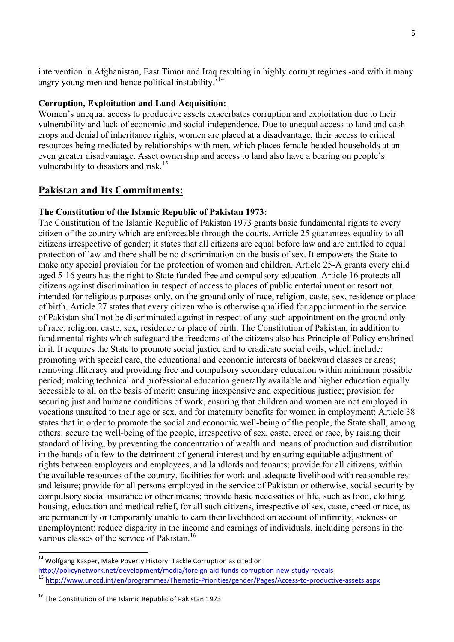intervention in Afghanistan, East Timor and Iraq resulting in highly corrupt regimes -and with it many angry young men and hence political instability.'<sup>14</sup>

#### **Corruption, Exploitation and Land Acquisition:**

Women's unequal access to productive assets exacerbates corruption and exploitation due to their vulnerability and lack of economic and social independence. Due to unequal access to land and cash crops and denial of inheritance rights, women are placed at a disadvantage, their access to critical resources being mediated by relationships with men, which places female-headed households at an even greater disadvantage. Asset ownership and access to land also have a bearing on people's vulnerability to disasters and risk.<sup>15</sup>

## **Pakistan and Its Commitments:**

## **The Constitution of the Islamic Republic of Pakistan 1973:**

The Constitution of the Islamic Republic of Pakistan 1973 grants basic fundamental rights to every citizen of the country which are enforceable through the courts. Article 25 guarantees equality to all citizens irrespective of gender; it states that all citizens are equal before law and are entitled to equal protection of law and there shall be no discrimination on the basis of sex. It empowers the State to make any special provision for the protection of women and children. Article 25-A grants every child aged 5-16 years has the right to State funded free and compulsory education. Article 16 protects all citizens against discrimination in respect of access to places of public entertainment or resort not intended for religious purposes only, on the ground only of race, religion, caste, sex, residence or place of birth. Article 27 states that every citizen who is otherwise qualified for appointment in the service of Pakistan shall not be discriminated against in respect of any such appointment on the ground only of race, religion, caste, sex, residence or place of birth. The Constitution of Pakistan, in addition to fundamental rights which safeguard the freedoms of the citizens also has Principle of Policy enshrined in it. It requires the State to promote social justice and to eradicate social evils, which include: promoting with special care, the educational and economic interests of backward classes or areas; removing illiteracy and providing free and compulsory secondary education within minimum possible period; making technical and professional education generally available and higher education equally accessible to all on the basis of merit; ensuring inexpensive and expeditious justice; provision for securing just and humane conditions of work, ensuring that children and women are not employed in vocations unsuited to their age or sex, and for maternity benefits for women in employment; Article 38 states that in order to promote the social and economic well-being of the people, the State shall, among others: secure the well-being of the people, irrespective of sex, caste, creed or race, by raising their standard of living, by preventing the concentration of wealth and means of production and distribution in the hands of a few to the detriment of general interest and by ensuring equitable adjustment of rights between employers and employees, and landlords and tenants; provide for all citizens, within the available resources of the country, facilities for work and adequate livelihood with reasonable rest and leisure; provide for all persons employed in the service of Pakistan or otherwise, social security by compulsory social insurance or other means; provide basic necessities of life, such as food, clothing. housing, education and medical relief, for all such citizens, irrespective of sex, caste, creed or race, as are permanently or temporarily unable to earn their livelihood on account of infirmity, sickness or unemployment; reduce disparity in the income and earnings of individuals, including persons in the various classes of the service of Pakistan.<sup>16</sup>

 

 $14$  Wolfgang Kasper, Make Poverty History: Tackle Corruption as cited on

http://policynetwork.net/development/media/foreign-aid-funds-corruption-new-study-reveals

<sup>15</sup> http://www.unccd.int/en/programmes/Thematic-Priorities/gender/Pages/Access-to-productive-assets.aspx

 $16$  The Constitution of the Islamic Republic of Pakistan 1973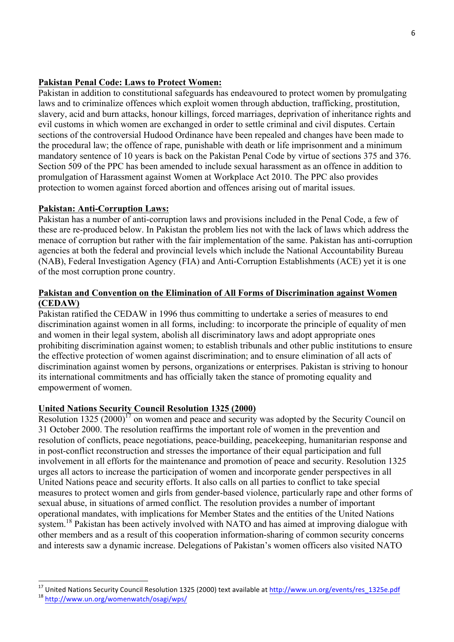## **Pakistan Penal Code: Laws to Protect Women:**

Pakistan in addition to constitutional safeguards has endeavoured to protect women by promulgating laws and to criminalize offences which exploit women through abduction, trafficking, prostitution, slavery, acid and burn attacks, honour killings, forced marriages, deprivation of inheritance rights and evil customs in which women are exchanged in order to settle criminal and civil disputes. Certain sections of the controversial Hudood Ordinance have been repealed and changes have been made to the procedural law; the offence of rape, punishable with death or life imprisonment and a minimum mandatory sentence of 10 years is back on the Pakistan Penal Code by virtue of sections 375 and 376. Section 509 of the PPC has been amended to include sexual harassment as an offence in addition to promulgation of Harassment against Women at Workplace Act 2010. The PPC also provides protection to women against forced abortion and offences arising out of marital issues.

## **Pakistan: Anti-Corruption Laws:**

 

Pakistan has a number of anti-corruption laws and provisions included in the Penal Code, a few of these are re-produced below. In Pakistan the problem lies not with the lack of laws which address the menace of corruption but rather with the fair implementation of the same. Pakistan has anti-corruption agencies at both the federal and provincial levels which include the National Accountability Bureau (NAB), Federal Investigation Agency (FIA) and Anti-Corruption Establishments (ACE) yet it is one of the most corruption prone country.

## **Pakistan and Convention on the Elimination of All Forms of Discrimination against Women (CEDAW)**

Pakistan ratified the CEDAW in 1996 thus committing to undertake a series of measures to end discrimination against women in all forms, including: to incorporate the principle of equality of men and women in their legal system, abolish all discriminatory laws and adopt appropriate ones prohibiting discrimination against women; to establish tribunals and other public institutions to ensure the effective protection of women against discrimination; and to ensure elimination of all acts of discrimination against women by persons, organizations or enterprises. Pakistan is striving to honour its international commitments and has officially taken the stance of promoting equality and empowerment of women.

#### **United Nations Security Council Resolution 1325 (2000)**

Resolution 1325 (2000)<sup>17</sup> on women and peace and security was adopted by the Security Council on 31 October 2000. The resolution reaffirms the important role of women in the prevention and resolution of conflicts, peace negotiations, peace-building, peacekeeping, humanitarian response and in post-conflict reconstruction and stresses the importance of their equal participation and full involvement in all efforts for the maintenance and promotion of peace and security. Resolution 1325 urges all actors to increase the participation of women and incorporate gender perspectives in all United Nations peace and security efforts. It also calls on all parties to conflict to take special measures to protect women and girls from gender-based violence, particularly rape and other forms of sexual abuse, in situations of armed conflict. The resolution provides a number of important operational mandates, with implications for Member States and the entities of the United Nations system.<sup>18</sup> Pakistan has been actively involved with NATO and has aimed at improving dialogue with other members and as a result of this cooperation information-sharing of common security concerns and interests saw a dynamic increase. Delegations of Pakistan's women officers also visited NATO

<sup>&</sup>lt;sup>17</sup> United Nations Security Council Resolution 1325 (2000) text available at <u>http://www.un.org/events/res\_1325e.pdf</u><br><sup>18</sup> http://www.un.org/womenwatch/osagi/wps/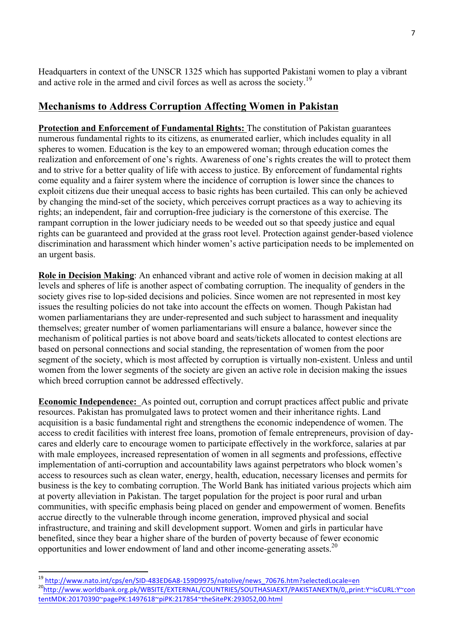Headquarters in context of the UNSCR 1325 which has supported Pakistani women to play a vibrant and active role in the armed and civil forces as well as across the society.<sup>19</sup>

## **Mechanisms to Address Corruption Affecting Women in Pakistan**

**Protection and Enforcement of Fundamental Rights:** The constitution of Pakistan guarantees numerous fundamental rights to its citizens, as enumerated earlier, which includes equality in all spheres to women. Education is the key to an empowered woman; through education comes the realization and enforcement of one's rights. Awareness of one's rights creates the will to protect them and to strive for a better quality of life with access to justice. By enforcement of fundamental rights come equality and a fairer system where the incidence of corruption is lower since the chances to exploit citizens due their unequal access to basic rights has been curtailed. This can only be achieved by changing the mind-set of the society, which perceives corrupt practices as a way to achieving its rights; an independent, fair and corruption-free judiciary is the cornerstone of this exercise. The rampant corruption in the lower judiciary needs to be weeded out so that speedy justice and equal rights can be guaranteed and provided at the grass root level. Protection against gender-based violence discrimination and harassment which hinder women's active participation needs to be implemented on an urgent basis.

**Role in Decision Making**: An enhanced vibrant and active role of women in decision making at all levels and spheres of life is another aspect of combating corruption. The inequality of genders in the society gives rise to lop-sided decisions and policies. Since women are not represented in most key issues the resulting policies do not take into account the effects on women. Though Pakistan had women parliamentarians they are under-represented and such subject to harassment and inequality themselves; greater number of women parliamentarians will ensure a balance, however since the mechanism of political parties is not above board and seats/tickets allocated to contest elections are based on personal connections and social standing, the representation of women from the poor segment of the society, which is most affected by corruption is virtually non-existent. Unless and until women from the lower segments of the society are given an active role in decision making the issues which breed corruption cannot be addressed effectively.

**Economic Independence:** As pointed out, corruption and corrupt practices affect public and private resources. Pakistan has promulgated laws to protect women and their inheritance rights. Land acquisition is a basic fundamental right and strengthens the economic independence of women. The access to credit facilities with interest free loans, promotion of female entrepreneurs, provision of daycares and elderly care to encourage women to participate effectively in the workforce, salaries at par with male employees, increased representation of women in all segments and professions, effective implementation of anti-corruption and accountability laws against perpetrators who block women's access to resources such as clean water, energy, health, education, necessary licenses and permits for business is the key to combating corruption. The World Bank has initiated various projects which aim at poverty alleviation in Pakistan. The target population for the project is poor rural and urban communities, with specific emphasis being placed on gender and empowerment of women. Benefits accrue directly to the vulnerable through income generation, improved physical and social infrastructure, and training and skill development support. Women and girls in particular have benefited, since they bear a higher share of the burden of poverty because of fewer economic opportunities and lower endowment of land and other income-generating assets. 20

 

<sup>&</sup>lt;sup>19</sup> http://www.nato.int/cps/en/SID-483ED6A8-159D9975/natolive/news\_70676.htm?selectedLocale=en<br><sup>20</sup>http://www.worldbank.org.pk/WBSITE/EXTERNAL/COUNTRIES/SOUTHASIAEXT/PAKISTANEXTN/0,,print:Y~isCURL:Y~con tentMDK:20170390~pagePK:1497618~piPK:217854~theSitePK:293052,00.html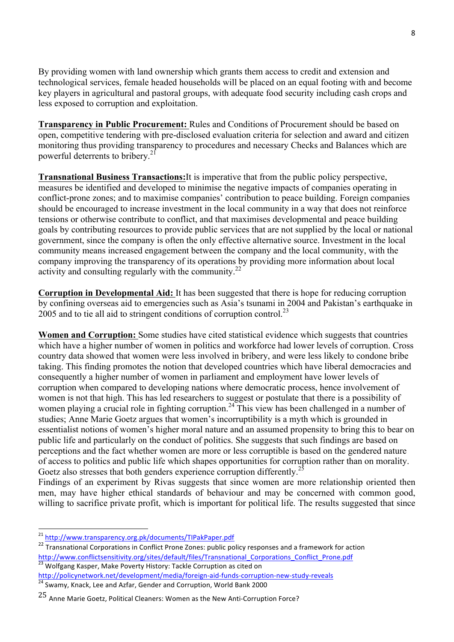By providing women with land ownership which grants them access to credit and extension and technological services, female headed households will be placed on an equal footing with and become key players in agricultural and pastoral groups, with adequate food security including cash crops and less exposed to corruption and exploitation.

**Transparency in Public Procurement:** Rules and Conditions of Procurement should be based on open, competitive tendering with pre-disclosed evaluation criteria for selection and award and citizen monitoring thus providing transparency to procedures and necessary Checks and Balances which are powerful deterrents to bribery.<sup>21</sup>

**Transnational Business Transactions:**It is imperative that from the public policy perspective, measures be identified and developed to minimise the negative impacts of companies operating in conflict-prone zones; and to maximise companies' contribution to peace building. Foreign companies should be encouraged to increase investment in the local community in a way that does not reinforce tensions or otherwise contribute to conflict, and that maximises developmental and peace building goals by contributing resources to provide public services that are not supplied by the local or national government, since the company is often the only effective alternative source. Investment in the local community means increased engagement between the company and the local community, with the company improving the transparency of its operations by providing more information about local activity and consulting regularly with the community.<sup>22</sup>

**Corruption in Developmental Aid:** It has been suggested that there is hope for reducing corruption by confining overseas aid to emergencies such as Asia's tsunami in 2004 and Pakistan's earthquake in 2005 and to tie all aid to stringent conditions of corruption control. 23

**Women and Corruption:** Some studies have cited statistical evidence which suggests that countries which have a higher number of women in politics and workforce had lower levels of corruption. Cross country data showed that women were less involved in bribery, and were less likely to condone bribe taking. This finding promotes the notion that developed countries which have liberal democracies and consequently a higher number of women in parliament and employment have lower levels of corruption when compared to developing nations where democratic process, hence involvement of women is not that high. This has led researchers to suggest or postulate that there is a possibility of women playing a crucial role in fighting corruption.<sup>24</sup> This view has been challenged in a number of studies; Anne Marie Goetz argues that women's incorruptibility is a myth which is grounded in essentialist notions of women's higher moral nature and an assumed propensity to bring this to bear on public life and particularly on the conduct of politics. She suggests that such findings are based on perceptions and the fact whether women are more or less corruptible is based on the gendered nature of access to politics and public life which shapes opportunities for corruption rather than on morality. Goetz also stresses that both genders experience corruption differently.<sup>25</sup>

Findings of an experiment by Rivas suggests that since women are more relationship oriented then men, may have higher ethical standards of behaviour and may be concerned with common good, willing to sacrifice private profit, which is important for political life. The results suggested that since

 

<sup>21</sup> http://www.transparency.org.pk/documents/TIPakPaper.pdf

<sup>&</sup>lt;sup>22</sup> Transnational Corporations in Conflict Prone Zones: public policy responses and a framework for action http://www.conflictsensitivity.org/sites/default/files/Transnational\_Corporations\_Conflict\_Prone.pdf

<sup>&</sup>lt;sup>23</sup> Wolfgang Kasper, Make Poverty History: Tackle Corruption as cited on<br>http://policynetwork.net/development/media/foreign-aid-funds-corruption-new-study-reveals

 $\frac{1}{24}$  Swamy, Knack, Lee and Azfar, Gender and Corruption, World Bank 2000

 $25$  Anne Marie Goetz, Political Cleaners: Women as the New Anti-Corruption Force?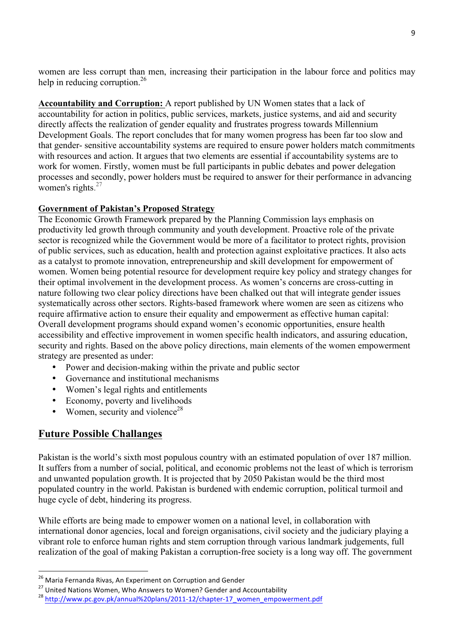women are less corrupt than men, increasing their participation in the labour force and politics may help in reducing corruption.<sup>26</sup>

**Accountability and Corruption:** A report published by UN Women states that a lack of accountability for action in politics, public services, markets, justice systems, and aid and security directly affects the realization of gender equality and frustrates progress towards Millennium Development Goals. The report concludes that for many women progress has been far too slow and that gender- sensitive accountability systems are required to ensure power holders match commitments with resources and action. It argues that two elements are essential if accountability systems are to work for women. Firstly, women must be full participants in public debates and power delegation processes and secondly, power holders must be required to answer for their performance in advancing women's rights. $27$ 

## **Government of Pakistan's Proposed Strategy**

The Economic Growth Framework prepared by the Planning Commission lays emphasis on productivity led growth through community and youth development. Proactive role of the private sector is recognized while the Government would be more of a facilitator to protect rights, provision of public services, such as education, health and protection against exploitative practices. It also acts as a catalyst to promote innovation, entrepreneurship and skill development for empowerment of women. Women being potential resource for development require key policy and strategy changes for their optimal involvement in the development process. As women's concerns are cross-cutting in nature following two clear policy directions have been chalked out that will integrate gender issues systematically across other sectors. Rights-based framework where women are seen as citizens who require affirmative action to ensure their equality and empowerment as effective human capital: Overall development programs should expand women's economic opportunities, ensure health accessibility and effective improvement in women specific health indicators, and assuring education, security and rights. Based on the above policy directions, main elements of the women empowerment strategy are presented as under:

- Power and decision-making within the private and public sector
- Governance and institutional mechanisms
- Women's legal rights and entitlements
- Economy, poverty and livelihoods
- Women, security and violence<sup>28</sup>

## **Future Possible Challanges**

 

Pakistan is the world's sixth most populous country with an estimated population of over 187 million. It suffers from a number of social, political, and economic problems not the least of which is terrorism and unwanted population growth. It is projected that by 2050 Pakistan would be the third most populated country in the world. Pakistan is burdened with endemic corruption, political turmoil and huge cycle of debt, hindering its progress.

While efforts are being made to empower women on a national level, in collaboration with international donor agencies, local and foreign organisations, civil society and the judiciary playing a vibrant role to enforce human rights and stem corruption through various landmark judgements, full realization of the goal of making Pakistan a corruption-free society is a long way off. The government

 $^{26}$  Maria Fernanda Rivas, An Experiment on Corruption and Gender

<sup>&</sup>lt;sup>27</sup> United Nations Women, Who Answers to Women? Gender and Accountability  $^{28}$  http://www.pc.gov.pk/annual%20plans/2011-12/chapter-17\_women\_empowerment.pdf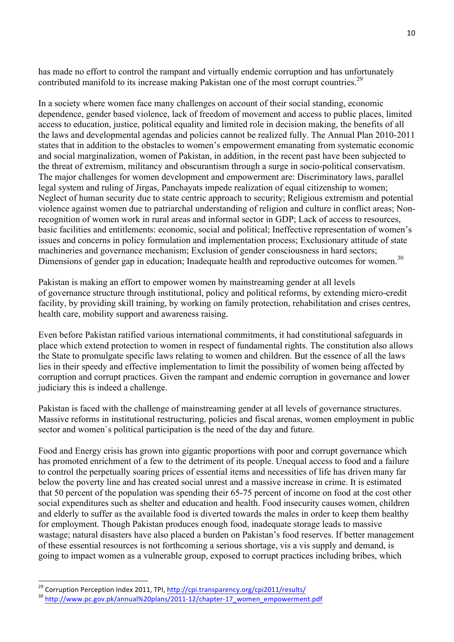has made no effort to control the rampant and virtually endemic corruption and has unfortunately contributed manifold to its increase making Pakistan one of the most corrupt countries.<sup>29</sup>

In a society where women face many challenges on account of their social standing, economic dependence, gender based violence, lack of freedom of movement and access to public places, limited access to education, justice, political equality and limited role in decision making, the benefits of all the laws and developmental agendas and policies cannot be realized fully. The Annual Plan 2010-2011 states that in addition to the obstacles to women's empowerment emanating from systematic economic and social marginalization, women of Pakistan, in addition, in the recent past have been subjected to the threat of extremism, militancy and obscurantism through a surge in socio-political conservatism. The major challenges for women development and empowerment are: Discriminatory laws, parallel legal system and ruling of Jirgas, Panchayats impede realization of equal citizenship to women; Neglect of human security due to state centric approach to security; Religious extremism and potential violence against women due to patriarchal understanding of religion and culture in conflict areas; Nonrecognition of women work in rural areas and informal sector in GDP; Lack of access to resources, basic facilities and entitlements: economic, social and political; Ineffective representation of women's issues and concerns in policy formulation and implementation process; Exclusionary attitude of state machineries and governance mechanism; Exclusion of gender consciousness in hard sectors; Dimensions of gender gap in education; Inadequate health and reproductive outcomes for women.<sup>30</sup>

Pakistan is making an effort to empower women by mainstreaming gender at all levels of governance structure through institutional, policy and political reforms, by extending micro-credit facility, by providing skill training, by working on family protection, rehabilitation and crises centres, health care, mobility support and awareness raising.

Even before Pakistan ratified various international commitments, it had constitutional safeguards in place which extend protection to women in respect of fundamental rights. The constitution also allows the State to promulgate specific laws relating to women and children. But the essence of all the laws lies in their speedy and effective implementation to limit the possibility of women being affected by corruption and corrupt practices. Given the rampant and endemic corruption in governance and lower judiciary this is indeed a challenge.

Pakistan is faced with the challenge of mainstreaming gender at all levels of governance structures. Massive reforms in institutional restructuring, policies and fiscal arenas, women employment in public sector and women`s political participation is the need of the day and future.

Food and Energy crisis has grown into gigantic proportions with poor and corrupt governance which has promoted enrichment of a few to the detriment of its people. Unequal access to food and a failure to control the perpetually soaring prices of essential items and necessities of life has driven many far below the poverty line and has created social unrest and a massive increase in crime. It is estimated that 50 percent of the population was spending their 65-75 percent of income on food at the cost other social expenditures such as shelter and education and health. Food insecurity causes women, children and elderly to suffer as the available food is diverted towards the males in order to keep them healthy for employment. Though Pakistan produces enough food, inadequate storage leads to massive wastage; natural disasters have also placed a burden on Pakistan's food reserves. If better management of these essential resources is not forthcoming a serious shortage, vis a vis supply and demand, is going to impact women as a vulnerable group, exposed to corrupt practices including bribes, which

<sup>&</sup>lt;sup>29</sup> Corruption Perception Index 2011, TPI, http://cpi.transparency.org/cpi2011/results/

<sup>&</sup>lt;sup>30</sup> http://www.pc.gov.pk/annual%20plans/2011-12/chapter-17\_women\_empowerment.pdf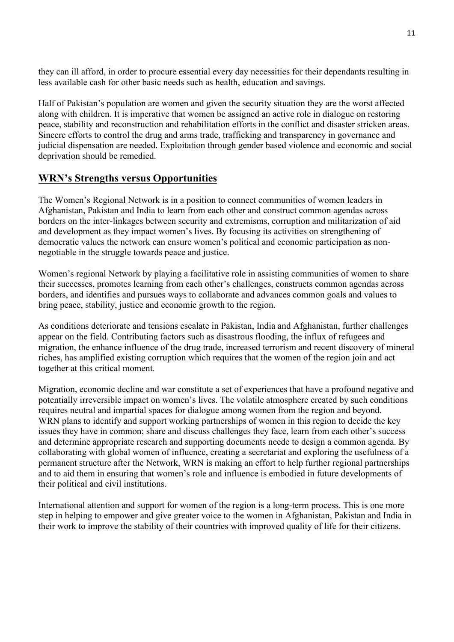they can ill afford, in order to procure essential every day necessities for their dependants resulting in less available cash for other basic needs such as health, education and savings.

Half of Pakistan's population are women and given the security situation they are the worst affected along with children. It is imperative that women be assigned an active role in dialogue on restoring peace, stability and reconstruction and rehabilitation efforts in the conflict and disaster stricken areas. Sincere efforts to control the drug and arms trade, trafficking and transparency in governance and judicial dispensation are needed. Exploitation through gender based violence and economic and social deprivation should be remedied.

## **WRN's Strengths versus Opportunities**

The Women's Regional Network is in a position to connect communities of women leaders in Afghanistan, Pakistan and India to learn from each other and construct common agendas across borders on the inter-linkages between security and extremisms, corruption and militarization of aid and development as they impact women's lives. By focusing its activities on strengthening of democratic values the network can ensure women's political and economic participation as nonnegotiable in the struggle towards peace and justice.

Women's regional Network by playing a facilitative role in assisting communities of women to share their successes, promotes learning from each other's challenges, constructs common agendas across borders, and identifies and pursues ways to collaborate and advances common goals and values to bring peace, stability, justice and economic growth to the region.

As conditions deteriorate and tensions escalate in Pakistan, India and Afghanistan, further challenges appear on the field. Contributing factors such as disastrous flooding, the influx of refugees and migration, the enhance influence of the drug trade, increased terrorism and recent discovery of mineral riches, has amplified existing corruption which requires that the women of the region join and act together at this critical moment.

Migration, economic decline and war constitute a set of experiences that have a profound negative and potentially irreversible impact on women's lives. The volatile atmosphere created by such conditions requires neutral and impartial spaces for dialogue among women from the region and beyond. WRN plans to identify and support working partnerships of women in this region to decide the key issues they have in common; share and discuss challenges they face, learn from each other's success and determine appropriate research and supporting documents neede to design a common agenda. By collaborating with global women of influence, creating a secretariat and exploring the usefulness of a permanent structure after the Network, WRN is making an effort to help further regional partnerships and to aid them in ensuring that women's role and influence is embodied in future developments of their political and civil institutions.

International attention and support for women of the region is a long-term process. This is one more step in helping to empower and give greater voice to the women in Afghanistan, Pakistan and India in their work to improve the stability of their countries with improved quality of life for their citizens.